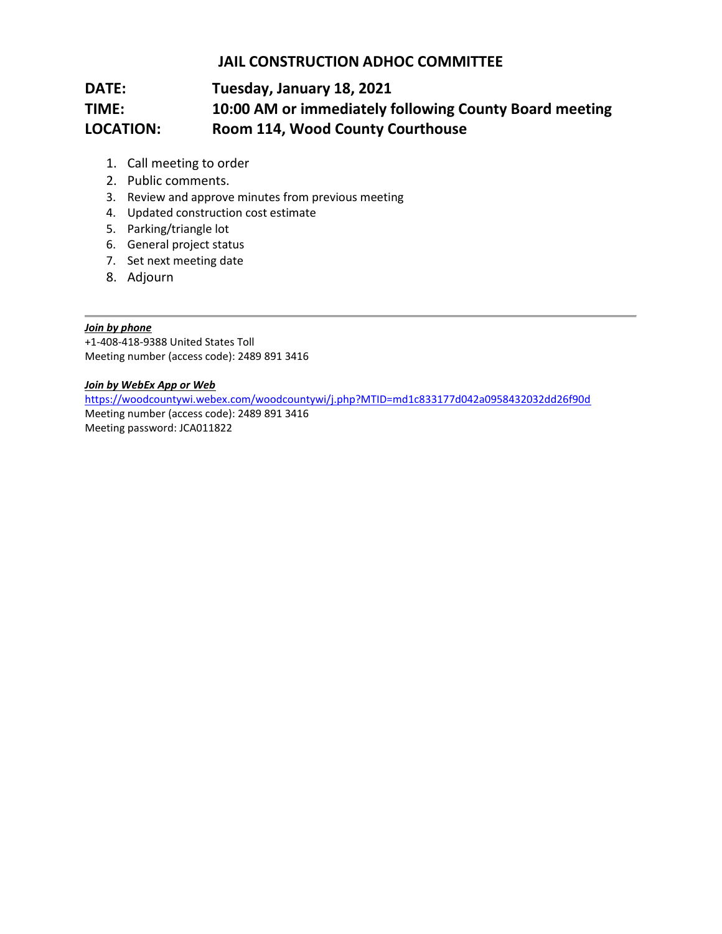## **JAIL CONSTRUCTION ADHOC COMMITTEE**

# **DATE: Tuesday, January 18, 2021 TIME: 10:00 AM or immediately following County Board meeting LOCATION: Room 114, Wood County Courthouse**

- 1. Call meeting to order
- 2. Public comments.
- 3. Review and approve minutes from previous meeting
- 4. Updated construction cost estimate
- 5. Parking/triangle lot
- 6. General project status
- 7. Set next meeting date
- 8. Adjourn

#### *Join by phone*

+1-408-418-9388 United States Toll Meeting number (access code): 2489 891 3416

#### *Join by WebEx App or Web*

<https://woodcountywi.webex.com/woodcountywi/j.php?MTID=md1c833177d042a0958432032dd26f90d> Meeting number (access code): 2489 891 3416 Meeting password: JCA011822